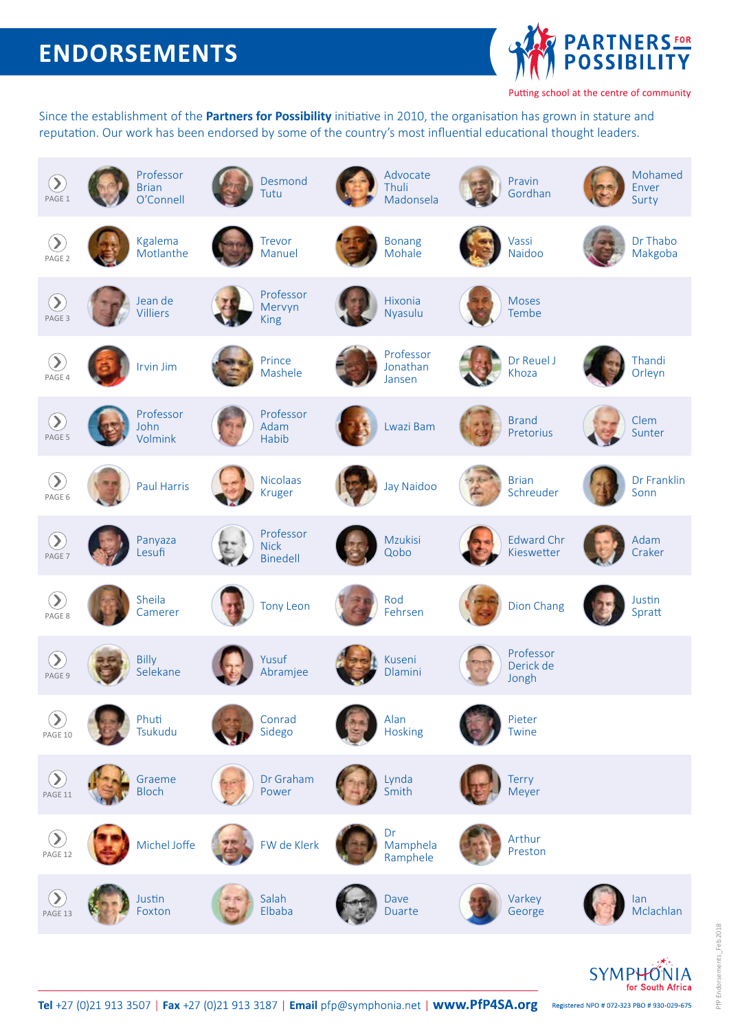# **ENDORSEMENTS**



Putting school at the centre of community

Since the establishment of the **Partners for Possibility** initiative in 2010, the organisation has grown in stature and reputation. Our work has been endorsed by some of the country's most influential educational thought leaders.



Tel +27 (0)21 913 3507 | Fax +27 (0)21 913 3187 | Email pfp@symphonia.net | www.PfP4SA.org Registered NPO # 072-323 PBO # 930-029-675

for South Africa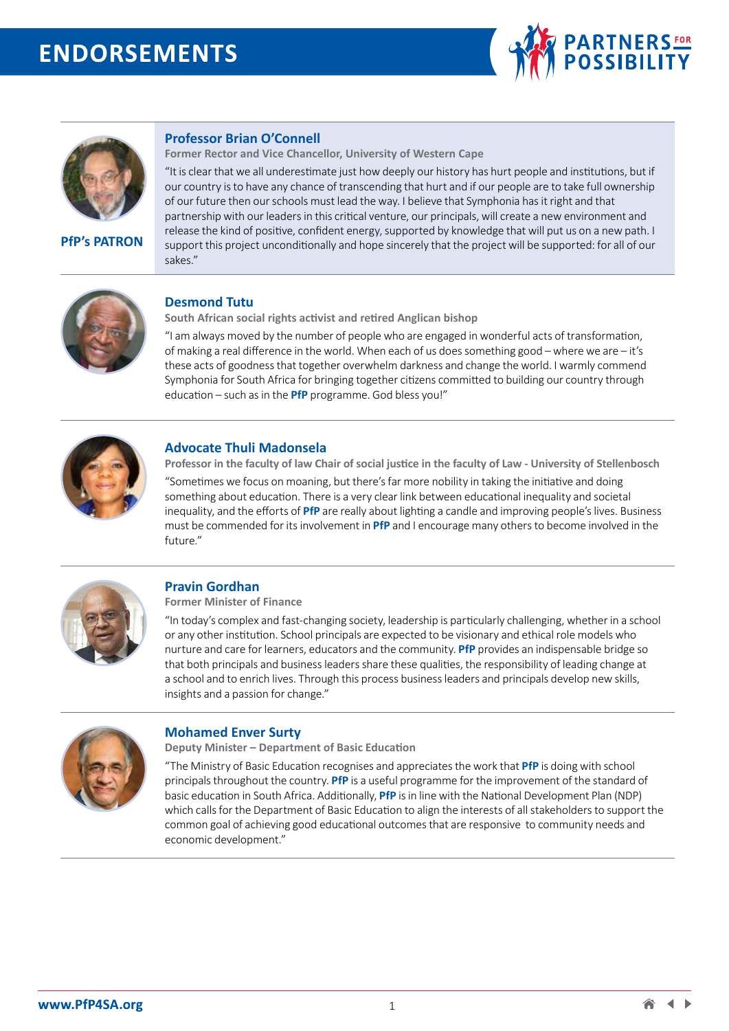# **ENDORSEMENTS**





**PfP's PATRON**

## **Professor Brian O'Connell**

**Former Rector and Vice Chancellor, University of Western Cape** 

"It is clear that we all underestimate just how deeply our history has hurt people and institutions, but if our country is to have any chance of transcending that hurt and if our people are to take full ownership of our future then our schools must lead the way. I believe that Symphonia has it right and that partnership with our leaders in this critical venture, our principals, will create a new environment and release the kind of positive, confident energy, supported by knowledge that will put us on a new path. I support this project unconditionally and hope sincerely that the project will be supported: for all of our sakes."



# **Desmond Tutu**

**South African social rights activist and retired Anglican bishop** 

"I am always moved by the number of people who are engaged in wonderful acts of transformation, of making a real difference in the world. When each of us does something good – where we are – it's these acts of goodness that together overwhelm darkness and change the world. I warmly commend Symphonia for South Africa for bringing together citizens committed to building our country through education – such as in the **PfP** programme. God bless you!"



### **Advocate Thuli Madonsela**

**Professor in the faculty of law Chair of social justice in the faculty of Law - University of Stellenbosch** 

"Sometimes we focus on moaning, but there's far more nobility in taking the initiative and doing something about education. There is a very clear link between educational inequality and societal inequality, and the efforts of **PfP** are really about lighting a candle and improving people's lives. Business must be commended for its involvement in **PfP** and I encourage many others to become involved in the future."



# **Pravin Gordhan**

**Former Minister of Finance**

"In today's complex and fast-changing society, leadership is particularly challenging, whether in a school or any other institution. School principals are expected to be visionary and ethical role models who nurture and care for learners, educators and the community. **PfP** provides an indispensable bridge so that both principals and business leaders share these qualities, the responsibility of leading change at a school and to enrich lives. Through this process business leaders and principals develop new skills, insights and a passion for change."



#### **Mohamed Enver Surty**

**Deputy Minister – Department of Basic Education**

"The Ministry of Basic Education recognises and appreciates the work that **PfP** is doing with school principals throughout the country. **PfP** is a useful programme for the improvement of the standard of basic education in South Africa. Additionally, **PfP** is in line with the National Development Plan (NDP) which calls for the Department of Basic Education to align the interests of all stakeholders to support the common goal of achieving good educational outcomes that are responsive to community needs and economic development."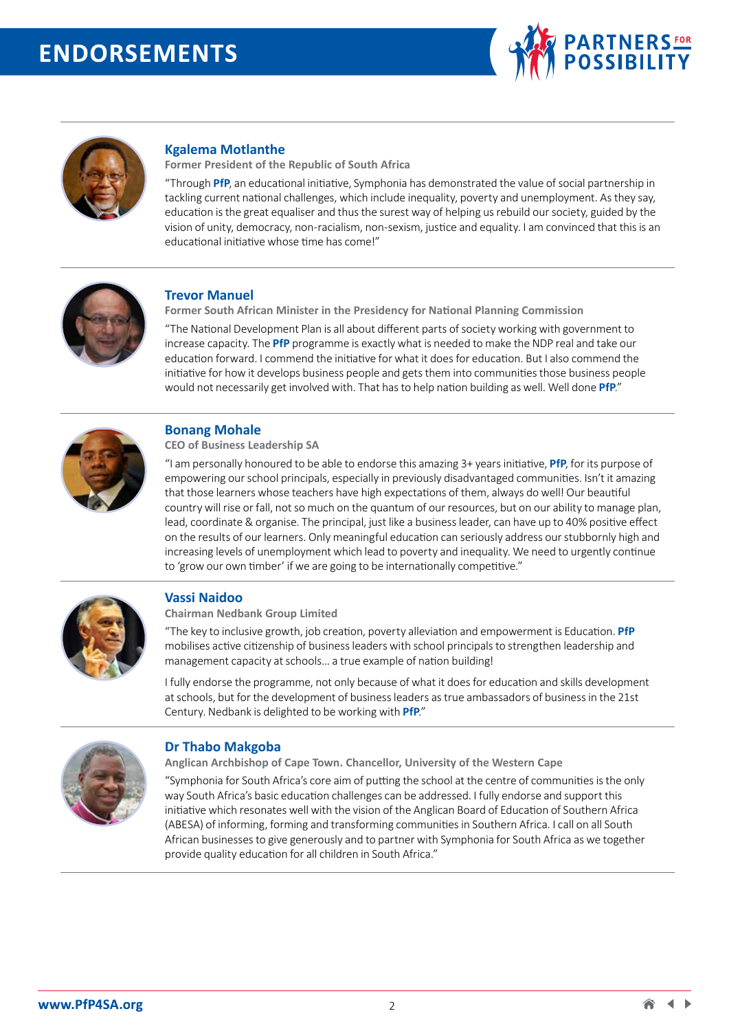



# **Kgalema Motlanthe**

**Former President of the Republic of South Africa** 

"Through **PfP**, an educational initiative, Symphonia has demonstrated the value of social partnership in tackling current national challenges, which include inequality, poverty and unemployment. As they say, education is the great equaliser and thus the surest way of helping us rebuild our society, guided by the vision of unity, democracy, non-racialism, non-sexism, justice and equality. I am convinced that this is an educational initiative whose time has come!"



# **Trevor Manuel**

**Former South African Minister in the Presidency for National Planning Commission** 

"The National Development Plan is all about different parts of society working with government to increase capacity. The **PfP** programme is exactly what is needed to make the NDP real and take our education forward. I commend the initiative for what it does for education. But I also commend the initiative for how it develops business people and gets them into communities those business people would not necessarily get involved with. That has to help nation building as well. Well done **PfP**."



# **Bonang Mohale**

**CEO of Business Leadership SA** 

"I am personally honoured to be able to endorse this amazing 3+ years initiative, **PfP**, for its purpose of empowering our school principals, especially in previously disadvantaged communities. Isn't it amazing that those learners whose teachers have high expectations of them, always do well! Our beautiful country will rise or fall, not so much on the quantum of our resources, but on our ability to manage plan, lead, coordinate & organise. The principal, just like a business leader, can have up to 40% positive effect on the results of our learners. Only meaningful education can seriously address our stubbornly high and increasing levels of unemployment which lead to poverty and inequality. We need to urgently continue to 'grow our own timber' if we are going to be internationally competitive."



#### **Vassi Naidoo**

**Chairman Nedbank Group Limited** 

"The key to inclusive growth, job creation, poverty alleviation and empowerment is Education. **PfP** mobilises active citizenship of business leaders with school principals to strengthen leadership and management capacity at schools… a true example of nation building!

I fully endorse the programme, not only because of what it does for education and skills development at schools, but for the development of business leaders as true ambassadors of business in the 21st Century. Nedbank is delighted to be working with **PfP**."



# **Dr Thabo Makgoba**

**Anglican Archbishop of Cape Town. Chancellor, University of the Western Cape**

"Symphonia for South Africa's core aim of putting the school at the centre of communities is the only way South Africa's basic education challenges can be addressed. I fully endorse and support this initiative which resonates well with the vision of the Anglican Board of Education of Southern Africa (ABESA) of informing, forming and transforming communities in Southern Africa. I call on all South African businesses to give generously and to partner with Symphonia for South Africa as we together provide quality education for all children in South Africa."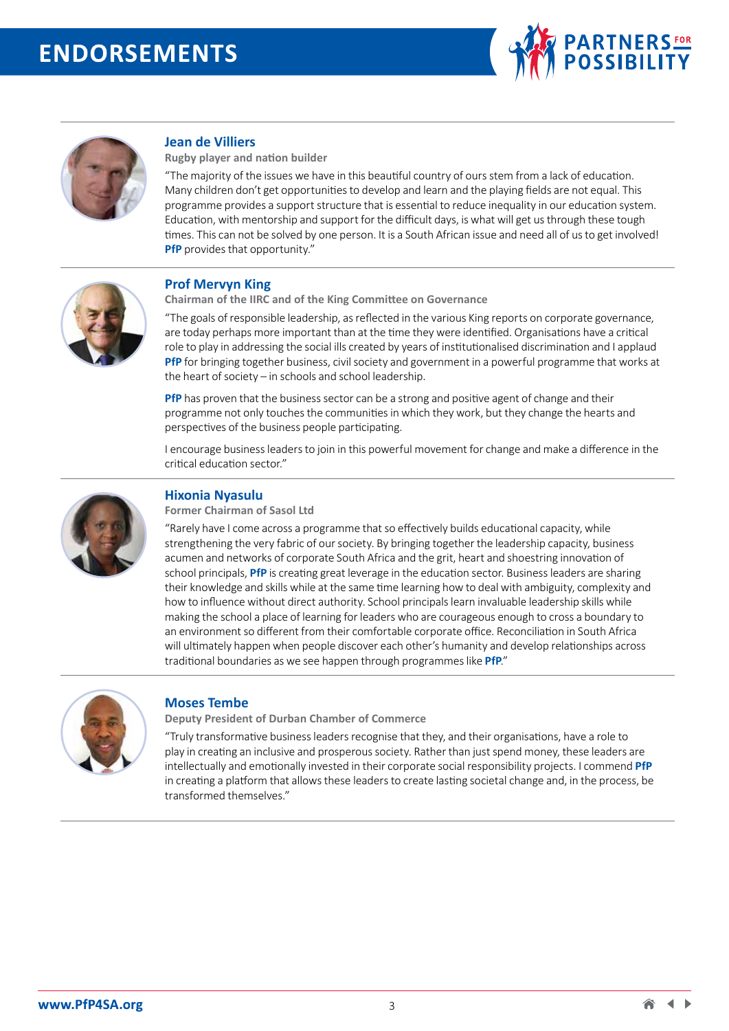



# **Jean de Villiers**

**Rugby player and nation builder**

"The majority of the issues we have in this beautiful country of ours stem from a lack of education. Many children don't get opportunities to develop and learn and the playing fields are not equal. This programme provides a support structure that is essential to reduce inequality in our education system. Education, with mentorship and support for the difficult days, is what will get us through these tough times. This can not be solved by one person. It is a South African issue and need all of us to get involved! **PfP** provides that opportunity."



### **Prof Mervyn King**

**Chairman of the IIRC and of the King Committee on Governance** 

"The goals of responsible leadership, as reflected in the various King reports on corporate governance, are today perhaps more important than at the time they were identified. Organisations have a critical role to play in addressing the social ills created by years of institutionalised discrimination and I applaud **PfP** for bringing together business, civil society and government in a powerful programme that works at the heart of society – in schools and school leadership.

**PfP** has proven that the business sector can be a strong and positive agent of change and their programme not only touches the communities in which they work, but they change the hearts and perspectives of the business people participating.

I encourage business leaders to join in this powerful movement for change and make a difference in the critical education sector."



#### **Hixonia Nyasulu Former Chairman of Sasol Ltd**

"Rarely have I come across a programme that so effectively builds educational capacity, while strengthening the very fabric of our society. By bringing together the leadership capacity, business acumen and networks of corporate South Africa and the grit, heart and shoestring innovation of school principals, **PfP** is creating great leverage in the education sector. Business leaders are sharing their knowledge and skills while at the same time learning how to deal with ambiguity, complexity and how to influence without direct authority. School principals learn invaluable leadership skills while making the school a place of learning for leaders who are courageous enough to cross a boundary to an environment so different from their comfortable corporate office. Reconciliation in South Africa will ultimately happen when people discover each other's humanity and develop relationships across traditional boundaries as we see happen through programmes like **PfP**."



#### **Moses Tembe**

**Deputy President of Durban Chamber of Commerce** 

"Truly transformative business leaders recognise that they, and their organisations, have a role to play in creating an inclusive and prosperous society. Rather than just spend money, these leaders are intellectually and emotionally invested in their corporate social responsibility projects. I commend **PfP** in creating a platform that allows these leaders to create lasting societal change and, in the process, be transformed themselves."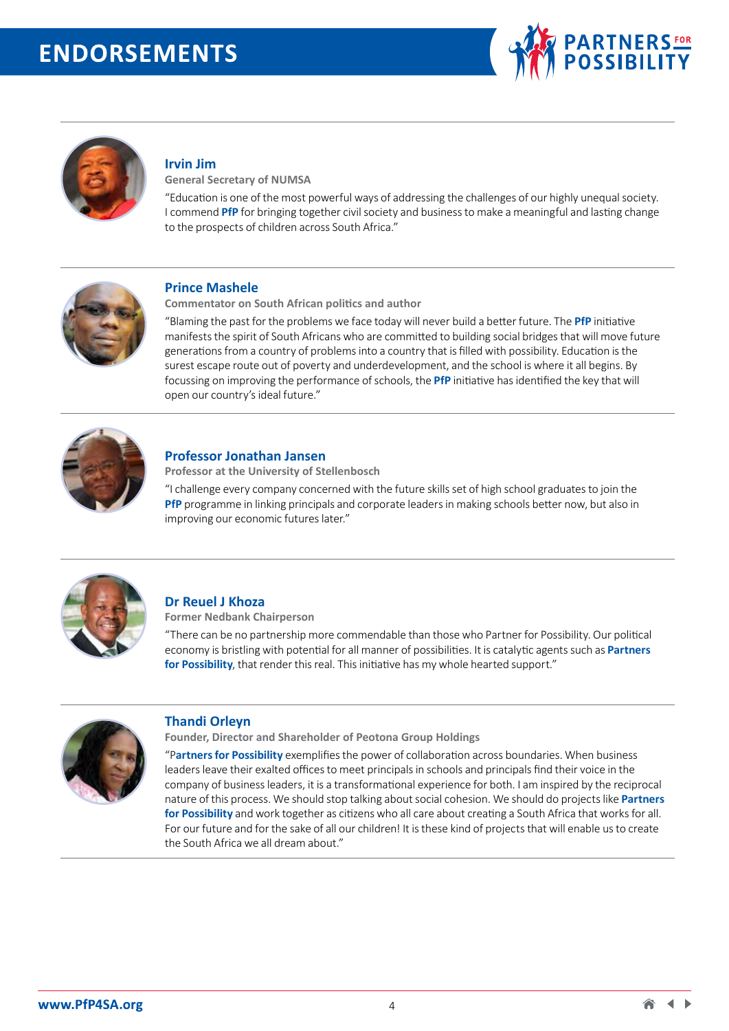



# **Irvin Jim**

**General Secretary of NUMSA** 

"Education is one of the most powerful ways of addressing the challenges of our highly unequal society. I commend **PfP** for bringing together civil society and business to make a meaningful and lasting change to the prospects of children across South Africa."



### **Prince Mashele**

**Commentator on South African politics and author** 

"Blaming the past for the problems we face today will never build a better future. The **PfP** initiative manifests the spirit of South Africans who are committed to building social bridges that will move future generations from a country of problems into a country that is filled with possibility. Education is the surest escape route out of poverty and underdevelopment, and the school is where it all begins. By focussing on improving the performance of schools, the **PfP** initiative has identified the key that will open our country's ideal future."



#### **Professor Jonathan Jansen**

**Professor at the University of Stellenbosch** 

"I challenge every company concerned with the future skills set of high school graduates to join the **PfP** programme in linking principals and corporate leaders in making schools better now, but also in improving our economic futures later."



# **Dr Reuel J Khoza**

**Former Nedbank Chairperson** 

"There can be no partnership more commendable than those who Partner for Possibility. Our political economy is bristling with potential for all manner of possibilities. It is catalytic agents such as **Partners for Possibility**, that render this real. This initiative has my whole hearted support."



# **Thandi Orleyn**

**Founder, Director and Shareholder of Peotona Group Holdings** 

"P**artners for Possibility** exemplifies the power of collaboration across boundaries. When business leaders leave their exalted offices to meet principals in schools and principals find their voice in the company of business leaders, it is a transformational experience for both. I am inspired by the reciprocal nature of this process. We should stop talking about social cohesion. We should do projects like **Partners for Possibility** and work together as citizens who all care about creating a South Africa that works for all. For our future and for the sake of all our children! It is these kind of projects that will enable us to create the South Africa we all dream about."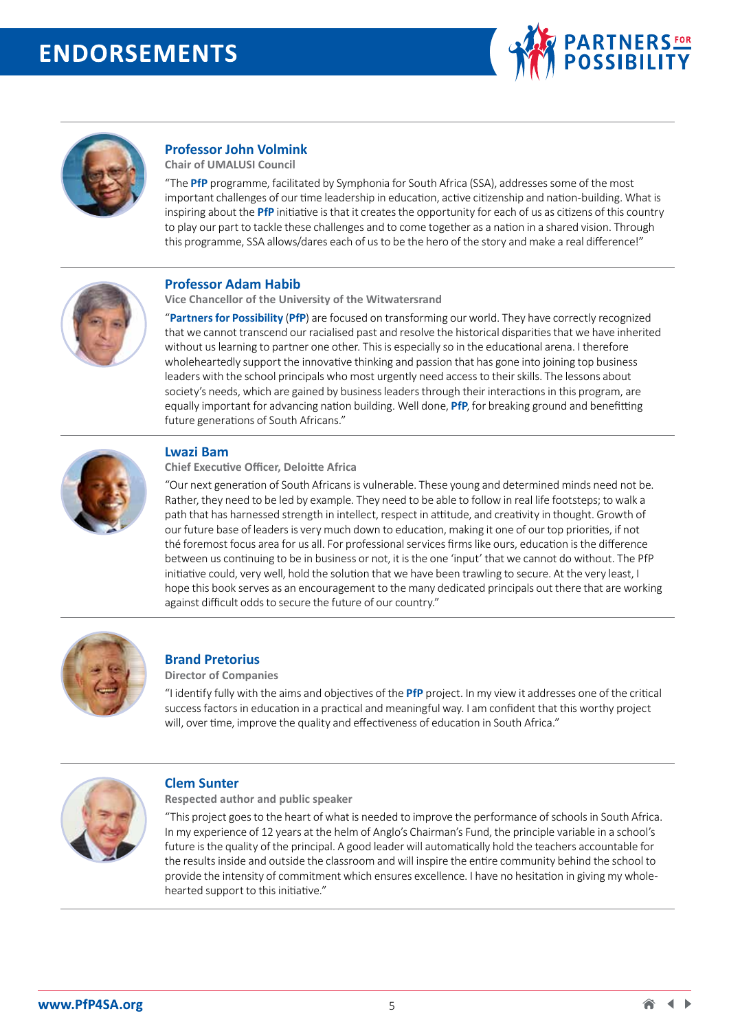



# **Professor John Volmink**

**Chair of UMALUSI Council** 

"The **PfP** programme, facilitated by Symphonia for South Africa (SSA), addresses some of the most important challenges of our time leadership in education, active citizenship and nation-building. What is inspiring about the **PfP** initiative is that it creates the opportunity for each of us as citizens of this country to play our part to tackle these challenges and to come together as a nation in a shared vision. Through this programme, SSA allows/dares each of us to be the hero of the story and make a real difference!"



### **Professor Adam Habib**

**Vice Chancellor of the University of the Witwatersrand** 

"**Partners for Possibility** (**PfP**) are focused on transforming our world. They have correctly recognized that we cannot transcend our racialised past and resolve the historical disparities that we have inherited without us learning to partner one other. This is especially so in the educational arena. I therefore wholeheartedly support the innovative thinking and passion that has gone into joining top business leaders with the school principals who most urgently need access to their skills. The lessons about society's needs, which are gained by business leaders through their interactions in this program, are equally important for advancing nation building. Well done, **PfP**, for breaking ground and benefitting future generations of South Africans."



### **Lwazi Bam**

**Chief Executive Officer, Deloitte Africa**

"Our next generation of South Africans is vulnerable. These young and determined minds need not be. Rather, they need to be led by example. They need to be able to follow in real life footsteps; to walk a path that has harnessed strength in intellect, respect in attitude, and creativity in thought. Growth of our future base of leaders is very much down to education, making it one of our top priorities, if not thé foremost focus area for us all. For professional services firms like ours, education is the difference between us continuing to be in business or not, it is the one 'input' that we cannot do without. The PfP initiative could, very well, hold the solution that we have been trawling to secure. At the very least, I hope this book serves as an encouragement to the many dedicated principals out there that are working against difficult odds to secure the future of our country."



# **Brand Pretorius**

**Director of Companies** 

"I identify fully with the aims and objectives of the **PfP** project. In my view it addresses one of the critical success factors in education in a practical and meaningful way. I am confident that this worthy project will, over time, improve the quality and effectiveness of education in South Africa."



#### **Clem Sunter**

**Respected author and public speaker** 

"This project goes to the heart of what is needed to improve the performance of schools in South Africa. In my experience of 12 years at the helm of Anglo's Chairman's Fund, the principle variable in a school's future is the quality of the principal. A good leader will automatically hold the teachers accountable for the results inside and outside the classroom and will inspire the entire community behind the school to provide the intensity of commitment which ensures excellence. I have no hesitation in giving my wholehearted support to this initiative."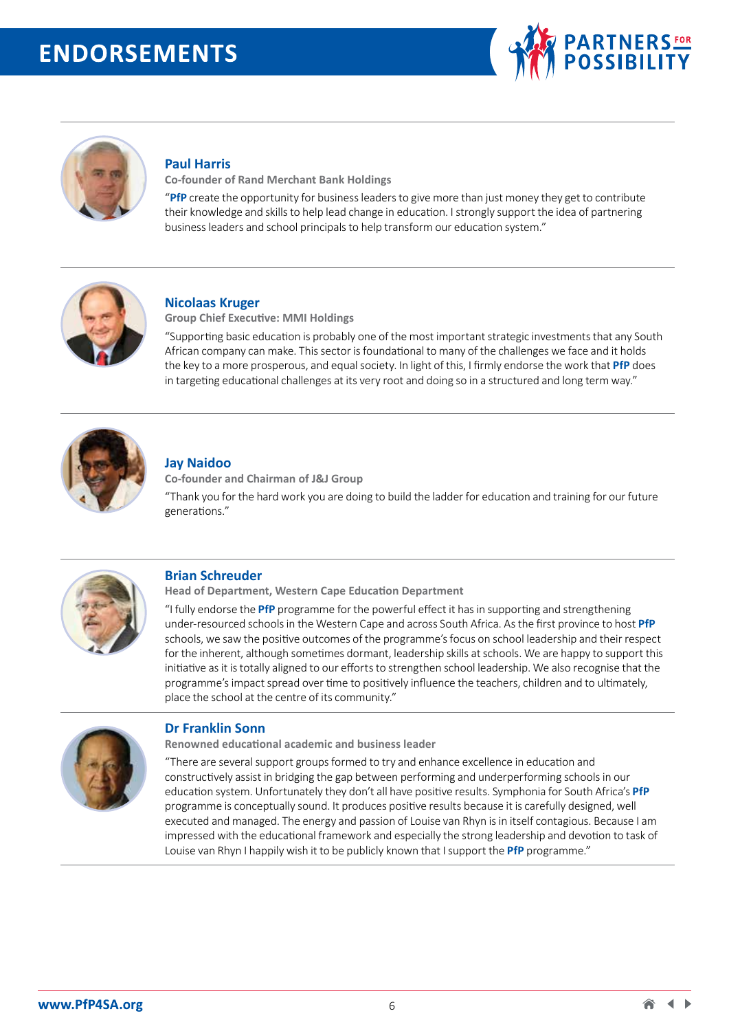



## **Paul Harris**

**Co-founder of Rand Merchant Bank Holdings**

"**PfP** create the opportunity for business leaders to give more than just money they get to contribute their knowledge and skills to help lead change in education. I strongly support the idea of partnering business leaders and school principals to help transform our education system."



#### **Nicolaas Kruger**

**Group Chief Executive: MMI Holdings**

"Supporting basic education is probably one of the most important strategic investments that any South African company can make. This sector is foundational to many of the challenges we face and it holds the key to a more prosperous, and equal society. In light of this, I firmly endorse the work that **PfP** does in targeting educational challenges at its very root and doing so in a structured and long term way."



#### **Jay Naidoo**

**Co-founder and Chairman of J&J Group**  "Thank you for the hard work you are doing to build the ladder for education and training for our future generations."



# **Brian Schreuder**

**Head of Department, Western Cape Education Department**

"I fully endorse the **PfP** programme for the powerful effect it has in supporting and strengthening under-resourced schools in the Western Cape and across South Africa. As the first province to host **PfP** schools, we saw the positive outcomes of the programme's focus on school leadership and their respect for the inherent, although sometimes dormant, leadership skills at schools. We are happy to support this initiative as it is totally aligned to our efforts to strengthen school leadership. We also recognise that the programme's impact spread over time to positively influence the teachers, children and to ultimately, place the school at the centre of its community."



#### **Dr Franklin Sonn**

**Renowned educational academic and business leader** 

"There are several support groups formed to try and enhance excellence in education and constructively assist in bridging the gap between performing and underperforming schools in our education system. Unfortunately they don't all have positive results. Symphonia for South Africa's **PfP** programme is conceptually sound. It produces positive results because it is carefully designed, well executed and managed. The energy and passion of Louise van Rhyn is in itself contagious. Because I am impressed with the educational framework and especially the strong leadership and devotion to task of Louise van Rhyn I happily wish it to be publicly known that I support the **PfP** programme."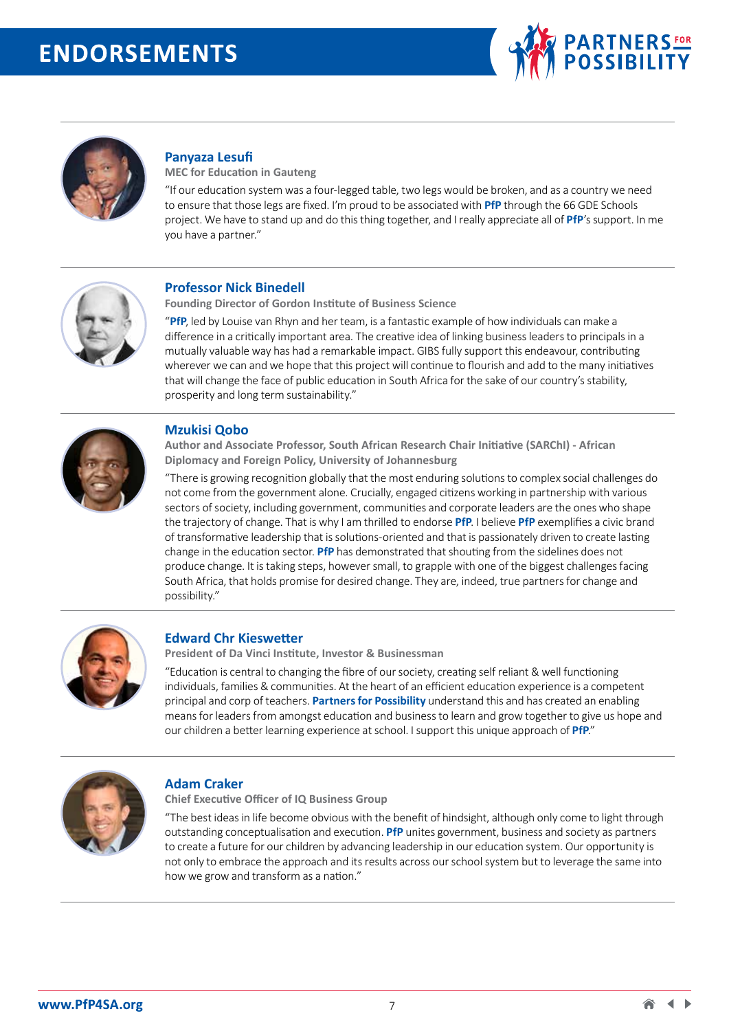



# **Panyaza Lesufi**

**MEC for Education in Gauteng**

"If our education system was a four-legged table, two legs would be broken, and as a country we need to ensure that those legs are fixed. I'm proud to be associated with **PfP** through the 66 GDE Schools project. We have to stand up and do this thing together, and I really appreciate all of **PfP**'s support. In me you have a partner."



### **Professor Nick Binedell**

**Founding Director of Gordon Institute of Business Science**

"**PfP**, led by Louise van Rhyn and her team, is a fantastic example of how individuals can make a difference in a critically important area. The creative idea of linking business leaders to principals in a mutually valuable way has had a remarkable impact. GIBS fully support this endeavour, contributing wherever we can and we hope that this project will continue to flourish and add to the many initiatives that will change the face of public education in South Africa for the sake of our country's stability, prosperity and long term sustainability."



### **Mzukisi Qobo**

**Author and Associate Professor, South African Research Chair Initiative (SARChI) - African Diplomacy and Foreign Policy, University of Johannesburg** 

"There is growing recognition globally that the most enduring solutions to complex social challenges do not come from the government alone. Crucially, engaged citizens working in partnership with various sectors of society, including government, communities and corporate leaders are the ones who shape the trajectory of change. That is why I am thrilled to endorse **PfP**. I believe **PfP** exemplifies a civic brand of transformative leadership that is solutions-oriented and that is passionately driven to create lasting change in the education sector. **PfP** has demonstrated that shouting from the sidelines does not produce change. It is taking steps, however small, to grapple with one of the biggest challenges facing South Africa, that holds promise for desired change. They are, indeed, true partners for change and possibility."



# **Edward Chr Kieswetter**

**President of Da Vinci Institute, Investor & Businessman** 

"Education is central to changing the fibre of our society, creating self reliant & well functioning individuals, families & communities. At the heart of an efficient education experience is a competent principal and corp of teachers. **Partners for Possibility** understand this and has created an enabling means for leaders from amongst education and business to learn and grow together to give us hope and our children a better learning experience at school. I support this unique approach of **PfP**."



#### **Adam Craker**

**Chief Executive Officer of IQ Business Group**

"The best ideas in life become obvious with the benefit of hindsight, although only come to light through outstanding conceptualisation and execution. **PfP** unites government, business and society as partners to create a future for our children by advancing leadership in our education system. Our opportunity is not only to embrace the approach and its results across our school system but to leverage the same into how we grow and transform as a nation."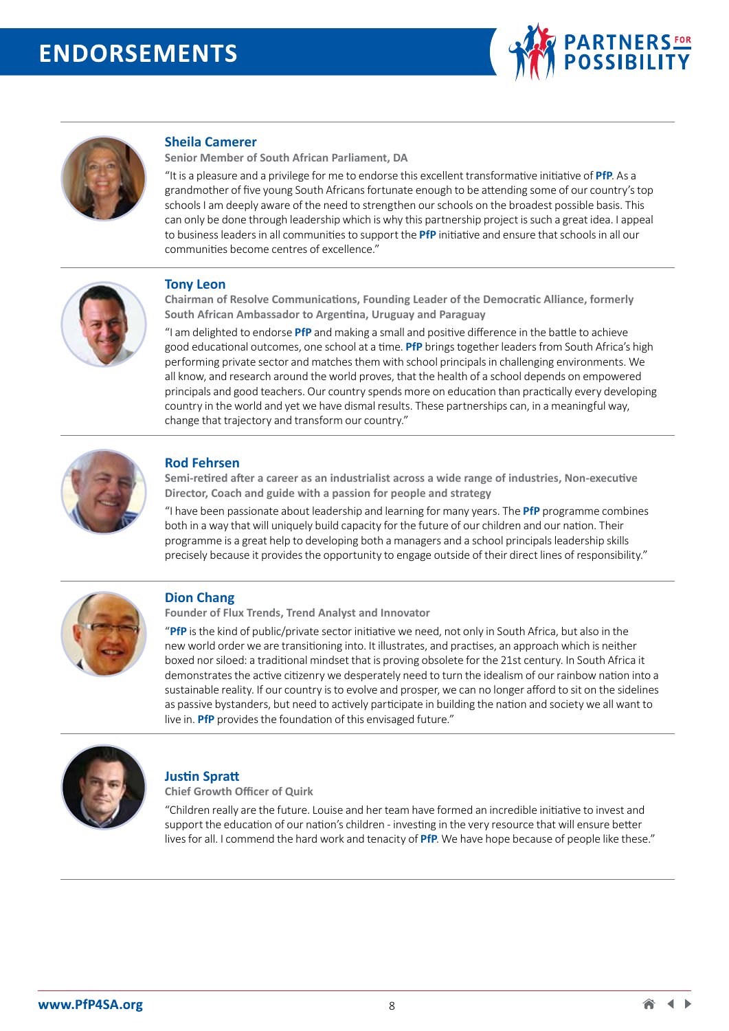



# **Sheila Camerer**

**Senior Member of South African Parliament, DA** 

"It is a pleasure and a privilege for me to endorse this excellent transformative initiative of **PfP**. As a grandmother of five young South Africans fortunate enough to be attending some of our country's top schools I am deeply aware of the need to strengthen our schools on the broadest possible basis. This can only be done through leadership which is why this partnership project is such a great idea. I appeal to business leaders in all communities to support the **PfP** initiative and ensure that schools in all our communities become centres of excellence."



#### **Tony Leon**

**Chairman of Resolve Communications, Founding Leader of the Democratic Alliance, formerly South African Ambassador to Argentina, Uruguay and Paraguay** 

"I am delighted to endorse **PfP** and making a small and positive difference in the battle to achieve good educational outcomes, one school at a time. **PfP** brings together leaders from South Africa's high performing private sector and matches them with school principals in challenging environments. We all know, and research around the world proves, that the health of a school depends on empowered principals and good teachers. Our country spends more on education than practically every developing country in the world and yet we have dismal results. These partnerships can, in a meaningful way, change that trajectory and transform our country."



#### **Rod Fehrsen**

**Semi-retired after a career as an industrialist across a wide range of industries, Non-executive Director, Coach and guide with a passion for people and strategy**

"I have been passionate about leadership and learning for many years. The **PfP** programme combines both in a way that will uniquely build capacity for the future of our children and our nation. Their programme is a great help to developing both a managers and a school principals leadership skills precisely because it provides the opportunity to engage outside of their direct lines of responsibility."



#### **Dion Chang**

**Founder of Flux Trends, Trend Analyst and Innovator**

"**PfP** is the kind of public/private sector initiative we need, not only in South Africa, but also in the new world order we are transitioning into. It illustrates, and practises, an approach which is neither boxed nor siloed: a traditional mindset that is proving obsolete for the 21st century. In South Africa it demonstrates the active citizenry we desperately need to turn the idealism of our rainbow nation into a sustainable reality. If our country is to evolve and prosper, we can no longer afford to sit on the sidelines as passive bystanders, but need to actively participate in building the nation and society we all want to live in. **PfP** provides the foundation of this envisaged future."



#### **Justin Spratt**

**Chief Growth Officer of Quirk** 

"Children really are the future. Louise and her team have formed an incredible initiative to invest and support the education of our nation's children - investing in the very resource that will ensure better lives for all. I commend the hard work and tenacity of **PfP**. We have hope because of people like these."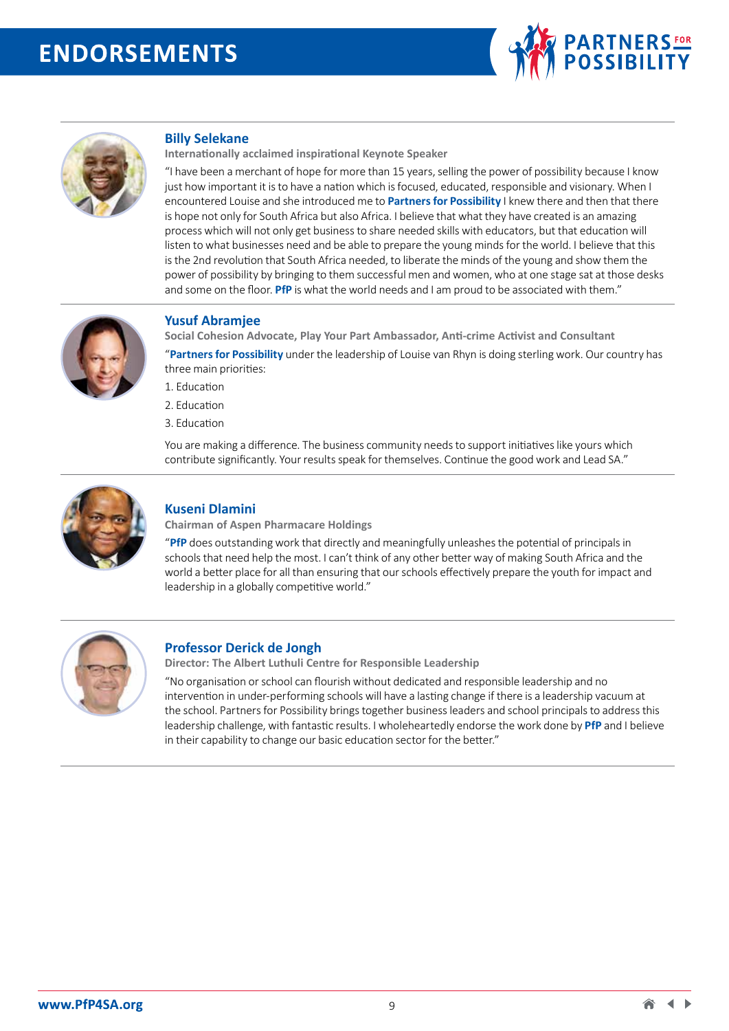



## **Billy Selekane**

**Internationally acclaimed inspirational Keynote Speaker** 

"I have been a merchant of hope for more than 15 years, selling the power of possibility because I know just how important it is to have a nation which is focused, educated, responsible and visionary. When I encountered Louise and she introduced me to **Partners for Possibility** I knew there and then that there is hope not only for South Africa but also Africa. I believe that what they have created is an amazing process which will not only get business to share needed skills with educators, but that education will listen to what businesses need and be able to prepare the young minds for the world. I believe that this is the 2nd revolution that South Africa needed, to liberate the minds of the young and show them the power of possibility by bringing to them successful men and women, who at one stage sat at those desks and some on the floor. **PfP** is what the world needs and I am proud to be associated with them."



#### **Yusuf Abramjee**

**Social Cohesion Advocate, Play Your Part Ambassador, Anti-crime Activist and Consultant**

"**Partners for Possibility** under the leadership of Louise van Rhyn is doing sterling work. Our country has three main priorities:

- 1. Education
- 2. Education
- 3. Education

You are making a difference. The business community needs to support initiatives like yours which contribute significantly. Your results speak for themselves. Continue the good work and Lead SA."



#### **Kuseni Dlamini**

**Chairman of Aspen Pharmacare Holdings** 

"**PfP** does outstanding work that directly and meaningfully unleashes the potential of principals in schools that need help the most. I can't think of any other better way of making South Africa and the world a better place for all than ensuring that our schools effectively prepare the youth for impact and leadership in a globally competitive world."



#### **Professor Derick de Jongh**

**Director: The Albert Luthuli Centre for Responsible Leadership** 

"No organisation or school can flourish without dedicated and responsible leadership and no intervention in under-performing schools will have a lasting change if there is a leadership vacuum at the school. Partners for Possibility brings together business leaders and school principals to address this leadership challenge, with fantastic results. I wholeheartedly endorse the work done by **PfP** and I believe in their capability to change our basic education sector for the better."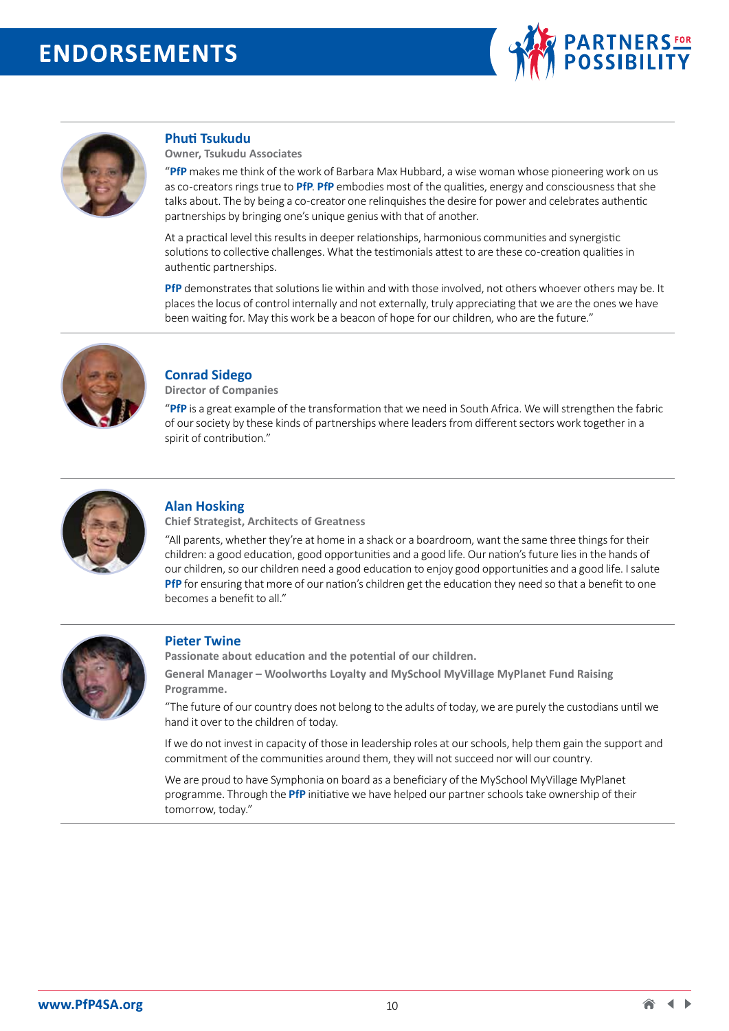



#### **Phuti Tsukudu**

**Owner, Tsukudu Associates** 

"**PfP** makes me think of the work of Barbara Max Hubbard, a wise woman whose pioneering work on us as co-creators rings true to **PfP**. **PfP** embodies most of the qualities, energy and consciousness that she talks about. The by being a co-creator one relinquishes the desire for power and celebrates authentic partnerships by bringing one's unique genius with that of another.

At a practical level this results in deeper relationships, harmonious communities and synergistic solutions to collective challenges. What the testimonials attest to are these co-creation qualities in authentic partnerships.

**PfP** demonstrates that solutions lie within and with those involved, not others whoever others may be. It places the locus of control internally and not externally, truly appreciating that we are the ones we have been waiting for. May this work be a beacon of hope for our children, who are the future."



# **Conrad Sidego**

**Director of Companies** 

"**PfP** is a great example of the transformation that we need in South Africa. We will strengthen the fabric of our society by these kinds of partnerships where leaders from different sectors work together in a spirit of contribution."



#### **Alan Hosking**

**Chief Strategist, Architects of Greatness** 

"All parents, whether they're at home in a shack or a boardroom, want the same three things for their children: a good education, good opportunities and a good life. Our nation's future lies in the hands of our children, so our children need a good education to enjoy good opportunities and a good life. I salute **PfP** for ensuring that more of our nation's children get the education they need so that a benefit to one becomes a benefit to all."



#### **Pieter Twine**

**Passionate about education and the potential of our children.**

**General Manager – Woolworths Loyalty and MySchool MyVillage MyPlanet Fund Raising Programme.**

"The future of our country does not belong to the adults of today, we are purely the custodians until we hand it over to the children of today.

If we do not invest in capacity of those in leadership roles at our schools, help them gain the support and commitment of the communities around them, they will not succeed nor will our country.

We are proud to have Symphonia on board as a beneficiary of the MySchool MyVillage MyPlanet programme. Through the **PfP** initiative we have helped our partner schools take ownership of their tomorrow, today."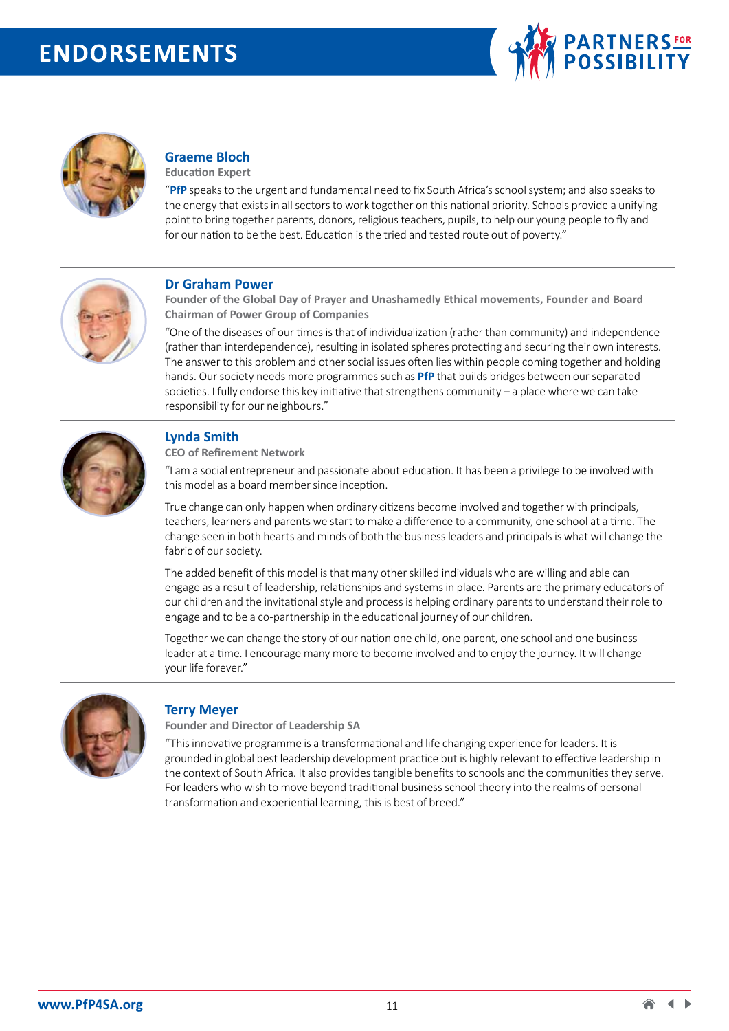



# **Graeme Bloch**

**Education Expert** 

"**PfP** speaks to the urgent and fundamental need to fix South Africa's school system; and also speaks to the energy that exists in all sectors to work together on this national priority. Schools provide a unifying point to bring together parents, donors, religious teachers, pupils, to help our young people to fly and for our nation to be the best. Education is the tried and tested route out of poverty."



#### **Dr Graham Power**

**Founder of the Global Day of Prayer and Unashamedly Ethical movements, Founder and Board Chairman of Power Group of Companies**

"One of the diseases of our times is that of individualization (rather than community) and independence (rather than interdependence), resulting in isolated spheres protecting and securing their own interests. The answer to this problem and other social issues often lies within people coming together and holding hands. Our society needs more programmes such as **PfP** that builds bridges between our separated societies. I fully endorse this key initiative that strengthens community – a place where we can take responsibility for our neighbours."



# **Lynda Smith**

**CEO of Refirement Network** 

"I am a social entrepreneur and passionate about education. It has been a privilege to be involved with this model as a board member since inception.

True change can only happen when ordinary citizens become involved and together with principals, teachers, learners and parents we start to make a difference to a community, one school at a time. The change seen in both hearts and minds of both the business leaders and principals is what will change the fabric of our society.

The added benefit of this model is that many other skilled individuals who are willing and able can engage as a result of leadership, relationships and systems in place. Parents are the primary educators of our children and the invitational style and process is helping ordinary parents to understand their role to engage and to be a co-partnership in the educational journey of our children.

Together we can change the story of our nation one child, one parent, one school and one business leader at a time. I encourage many more to become involved and to enjoy the journey. It will change your life forever."



# **Terry Meyer**

**Founder and Director of Leadership SA** 

"This innovative programme is a transformational and life changing experience for leaders. It is grounded in global best leadership development practice but is highly relevant to effective leadership in the context of South Africa. It also provides tangible benefits to schools and the communities they serve. For leaders who wish to move beyond traditional business school theory into the realms of personal transformation and experiential learning, this is best of breed."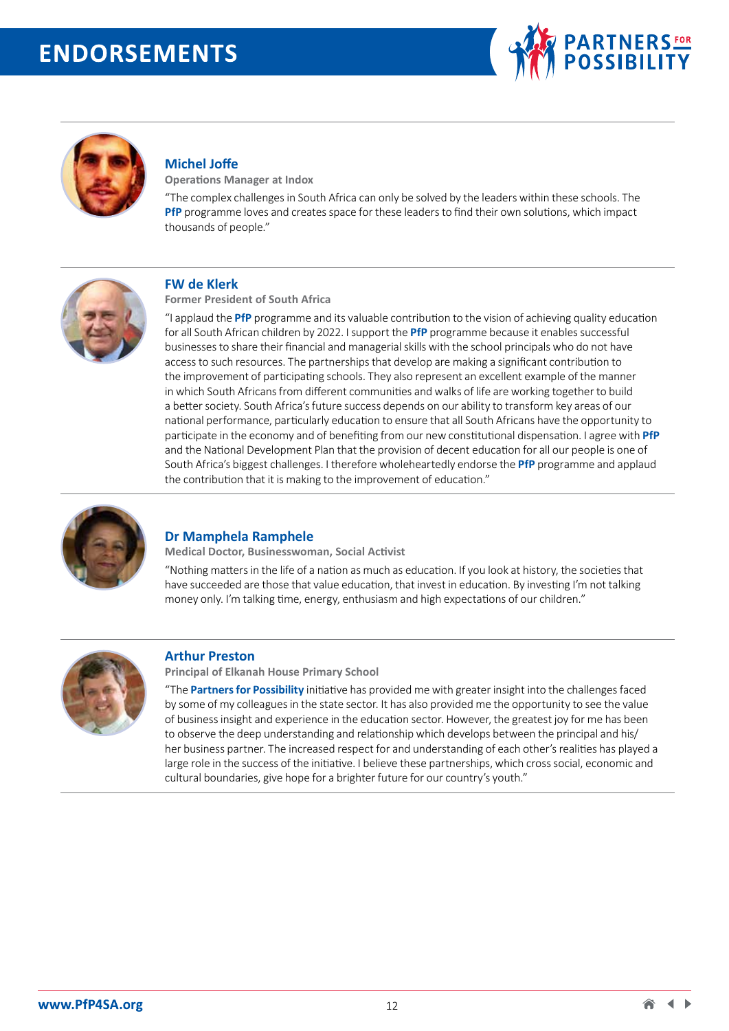



# **Michel Joffe**

**Operations Manager at Indox**

"The complex challenges in South Africa can only be solved by the leaders within these schools. The **PfP** programme loves and creates space for these leaders to find their own solutions, which impact thousands of people."



#### **FW de Klerk**

**Former President of South Africa** 

"I applaud the **PfP** programme and its valuable contribution to the vision of achieving quality education for all South African children by 2022. I support the **PfP** programme because it enables successful businesses to share their financial and managerial skills with the school principals who do not have access to such resources. The partnerships that develop are making a significant contribution to the improvement of participating schools. They also represent an excellent example of the manner in which South Africans from different communities and walks of life are working together to build a better society. South Africa's future success depends on our ability to transform key areas of our national performance, particularly education to ensure that all South Africans have the opportunity to participate in the economy and of benefiting from our new constitutional dispensation. I agree with **PfP** and the National Development Plan that the provision of decent education for all our people is one of South Africa's biggest challenges. I therefore wholeheartedly endorse the **PfP** programme and applaud the contribution that it is making to the improvement of education."



# **Dr Mamphela Ramphele**

**Medical Doctor, Businesswoman, Social Activist** 

"Nothing matters in the life of a nation as much as education. If you look at history, the societies that have succeeded are those that value education, that invest in education. By investing I'm not talking money only. I'm talking time, energy, enthusiasm and high expectations of our children."



#### **Arthur Preston**

**Principal of Elkanah House Primary School** 

"The **Partners for Possibility** initiative has provided me with greater insight into the challenges faced by some of my colleagues in the state sector. It has also provided me the opportunity to see the value of business insight and experience in the education sector. However, the greatest joy for me has been to observe the deep understanding and relationship which develops between the principal and his/ her business partner. The increased respect for and understanding of each other's realities has played a large role in the success of the initiative. I believe these partnerships, which cross social, economic and cultural boundaries, give hope for a brighter future for our country's youth."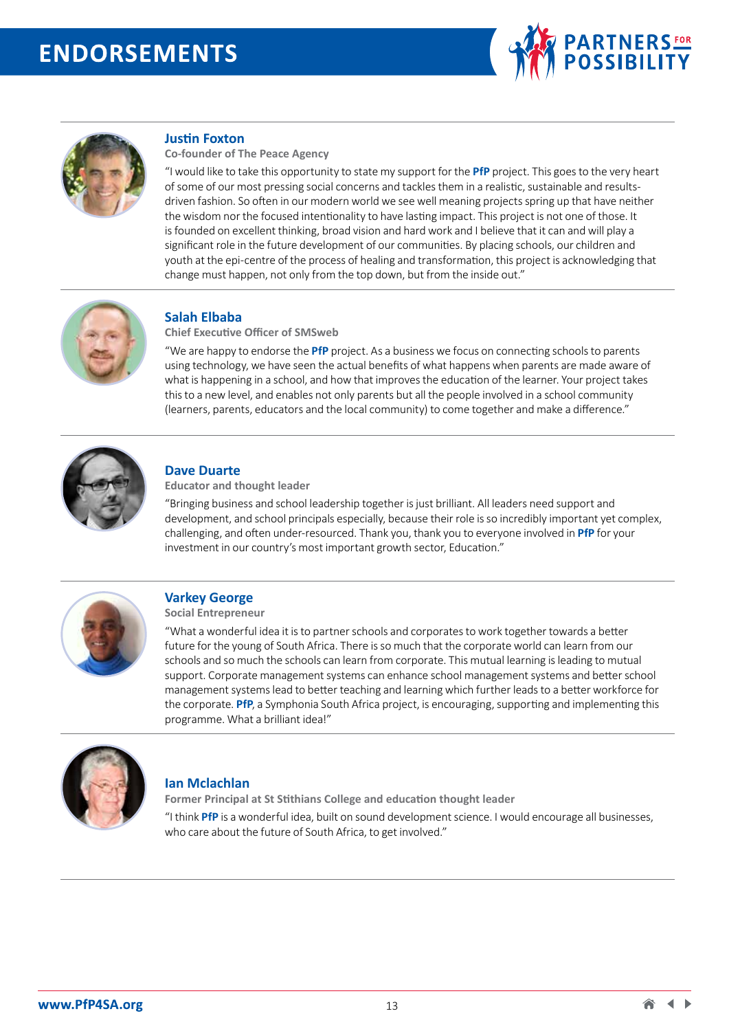



#### **Justin Foxton**

**Co-founder of The Peace Agency** 

"I would like to take this opportunity to state my support for the **PfP** project. This goes to the very heart of some of our most pressing social concerns and tackles them in a realistic, sustainable and resultsdriven fashion. So often in our modern world we see well meaning projects spring up that have neither the wisdom nor the focused intentionality to have lasting impact. This project is not one of those. It is founded on excellent thinking, broad vision and hard work and I believe that it can and will play a significant role in the future development of our communities. By placing schools, our children and youth at the epi-centre of the process of healing and transformation, this project is acknowledging that change must happen, not only from the top down, but from the inside out."



# **Salah Elbaba**

**Chief Executive Officer of SMSweb** 

"We are happy to endorse the **PfP** project. As a business we focus on connecting schools to parents using technology, we have seen the actual benefits of what happens when parents are made aware of what is happening in a school, and how that improves the education of the learner. Your project takes this to a new level, and enables not only parents but all the people involved in a school community (learners, parents, educators and the local community) to come together and make a difference."



#### **Dave Duarte**

**Educator and thought leader** 

"Bringing business and school leadership together is just brilliant. All leaders need support and development, and school principals especially, because their role is so incredibly important yet complex, challenging, and often under-resourced. Thank you, thank you to everyone involved in **PfP** for your investment in our country's most important growth sector, Education."



# **Varkey George**

**Social Entrepreneur** 

"What a wonderful idea it is to partner schools and corporates to work together towards a better future for the young of South Africa. There is so much that the corporate world can learn from our schools and so much the schools can learn from corporate. This mutual learning is leading to mutual support. Corporate management systems can enhance school management systems and better school management systems lead to better teaching and learning which further leads to a better workforce for the corporate. **PfP**, a Symphonia South Africa project, is encouraging, supporting and implementing this programme. What a brilliant idea!"



### **Ian Mclachlan**

**Former Principal at St Stithians College and education thought leader**  "I think **PfP** is a wonderful idea, built on sound development science. I would encourage all businesses, who care about the future of South Africa, to get involved."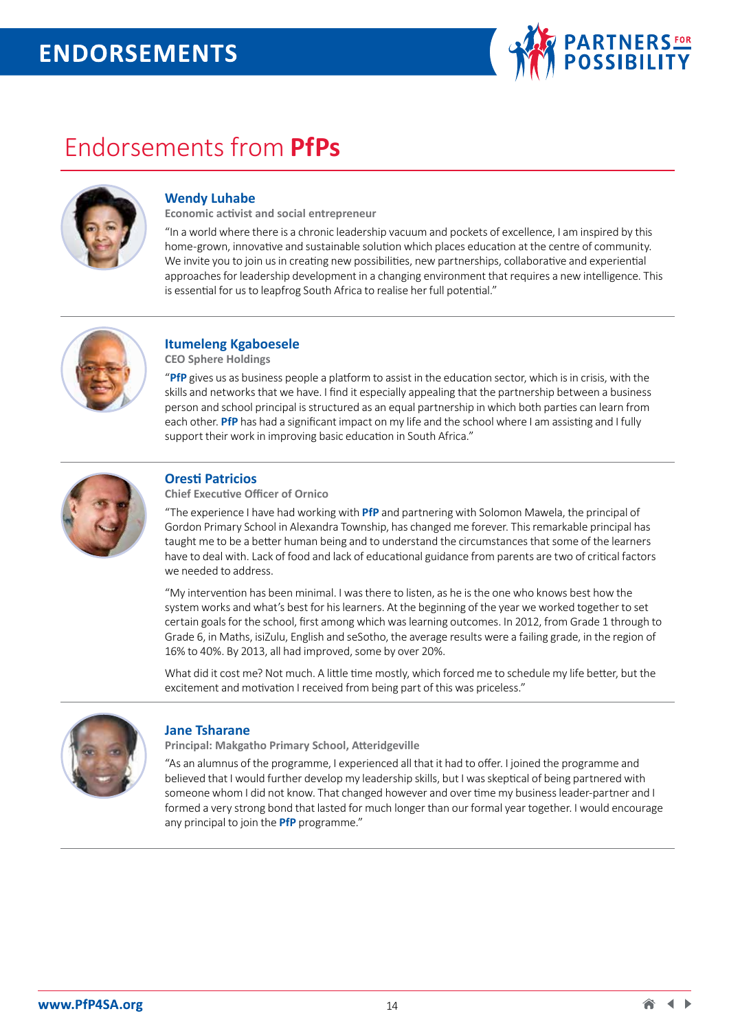

# Endorsements from **PfPs**



# **Wendy Luhabe**

**Economic activist and social entrepreneur** 

"In a world where there is a chronic leadership vacuum and pockets of excellence, I am inspired by this home-grown, innovative and sustainable solution which places education at the centre of community. We invite you to join us in creating new possibilities, new partnerships, collaborative and experiential approaches for leadership development in a changing environment that requires a new intelligence. This is essential for us to leapfrog South Africa to realise her full potential."



# **Itumeleng Kgaboesele**

**CEO Sphere Holdings**

"**PfP** gives us as business people a platform to assist in the education sector, which is in crisis, with the skills and networks that we have. I find it especially appealing that the partnership between a business person and school principal is structured as an equal partnership in which both parties can learn from each other. **PfP** has had a significant impact on my life and the school where I am assisting and I fully support their work in improving basic education in South Africa."



# **Oresti Patricios**

**Chief Executive Officer of Ornico** 

"The experience I have had working with **PfP** and partnering with Solomon Mawela, the principal of Gordon Primary School in Alexandra Township, has changed me forever. This remarkable principal has taught me to be a better human being and to understand the circumstances that some of the learners have to deal with. Lack of food and lack of educational guidance from parents are two of critical factors we needed to address.

"My intervention has been minimal. I was there to listen, as he is the one who knows best how the system works and what's best for his learners. At the beginning of the year we worked together to set certain goals for the school, first among which was learning outcomes. In 2012, from Grade 1 through to Grade 6, in Maths, isiZulu, English and seSotho, the average results were a failing grade, in the region of 16% to 40%. By 2013, all had improved, some by over 20%.

What did it cost me? Not much. A little time mostly, which forced me to schedule my life better, but the excitement and motivation I received from being part of this was priceless."



#### **Jane Tsharane**

**Principal: Makgatho Primary School, Atteridgeville** 

"As an alumnus of the programme, I experienced all that it had to offer. I joined the programme and believed that I would further develop my leadership skills, but I was skeptical of being partnered with someone whom I did not know. That changed however and over time my business leader-partner and I formed a very strong bond that lasted for much longer than our formal year together. I would encourage any principal to join the **PfP** programme."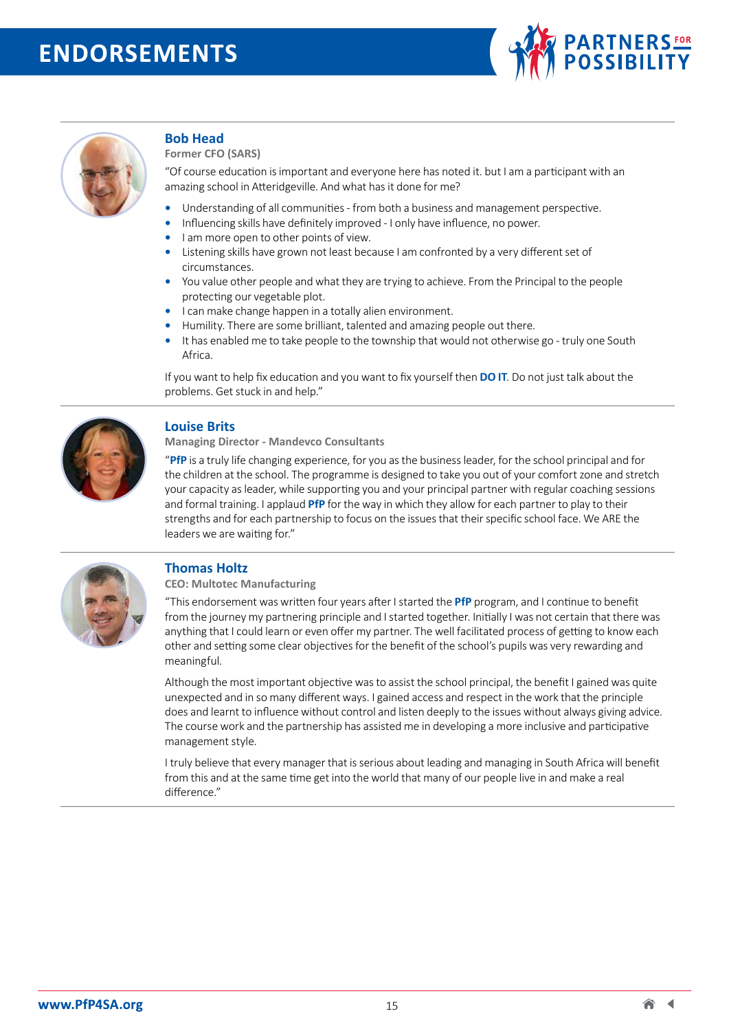



#### **Bob Head**

**Former CFO (SARS)** 

"Of course education is important and everyone here has noted it. but I am a participant with an amazing school in Atteridgeville. And what has it done for me?

- **•** Understanding of all communities from both a business and management perspective.
- **•** Influencing skills have definitely improved I only have influence, no power.
- **•** I am more open to other points of view.
- **•** Listening skills have grown not least because I am confronted by a very different set of circumstances.
- **•** You value other people and what they are trying to achieve. From the Principal to the people protecting our vegetable plot.
- **•** I can make change happen in a totally alien environment.
- **•** Humility. There are some brilliant, talented and amazing people out there.
- **•** It has enabled me to take people to the township that would not otherwise go truly one South Africa.

If you want to help fix education and you want to fix yourself then **DO IT**. Do not just talk about the problems. Get stuck in and help."



#### **Louise Brits**

**Managing Director - Mandevco Consultants** 

"**PfP** is a truly life changing experience, for you as the business leader, for the school principal and for the children at the school. The programme is designed to take you out of your comfort zone and stretch your capacity as leader, while supporting you and your principal partner with regular coaching sessions and formal training. I applaud **PfP** for the way in which they allow for each partner to play to their strengths and for each partnership to focus on the issues that their specific school face. We ARE the leaders we are waiting for."



#### **Thomas Holtz**

**CEO: Multotec Manufacturing** 

"This endorsement was written four years after I started the **PfP** program, and I continue to benefit from the journey my partnering principle and I started together. Initially I was not certain that there was anything that I could learn or even offer my partner. The well facilitated process of getting to know each other and setting some clear objectives for the benefit of the school's pupils was very rewarding and meaningful.

Although the most important objective was to assist the school principal, the benefit I gained was quite unexpected and in so many different ways. I gained access and respect in the work that the principle does and learnt to influence without control and listen deeply to the issues without always giving advice. The course work and the partnership has assisted me in developing a more inclusive and participative management style.

I truly believe that every manager that is serious about leading and managing in South Africa will benefit from this and at the same time get into the world that many of our people live in and make a real difference."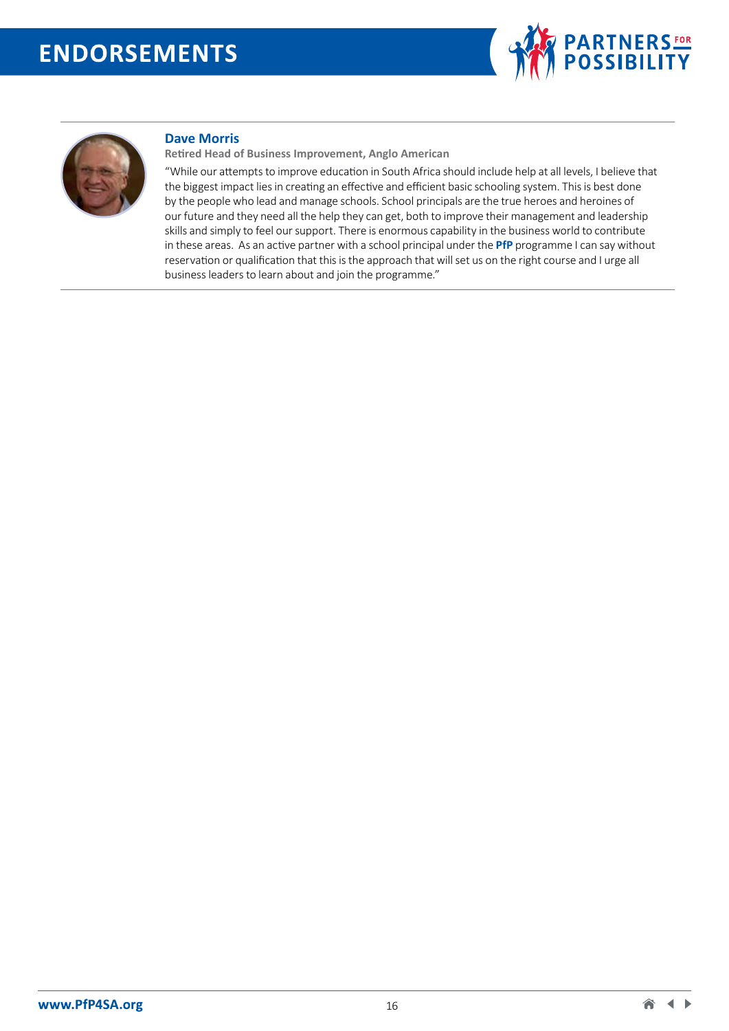



#### **Dave Morris**

**Retired Head of Business Improvement, Anglo American**

"While our attempts to improve education in South Africa should include help at all levels, I believe that the biggest impact lies in creating an effective and efficient basic schooling system. This is best done by the people who lead and manage schools. School principals are the true heroes and heroines of our future and they need all the help they can get, both to improve their management and leadership skills and simply to feel our support. There is enormous capability in the business world to contribute in these areas. As an active partner with a school principal under the **PfP** programme I can say without reservation or qualification that this is the approach that will set us on the right course and I urge all business leaders to learn about and join the programme."